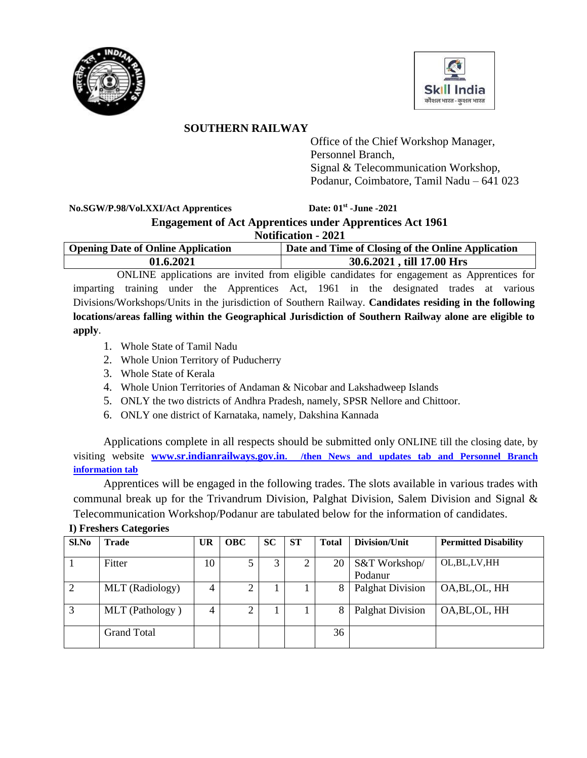



# **SOUTHERN RAILWAY**

Office of the Chief Workshop Manager, Personnel Branch, Signal & Telecommunication Workshop, Podanur, Coimbatore, Tamil Nadu – 641 023

 $No.SGW/P.98/Vol.XXI/Act$  Apprentices

**-June -2021**

# **Engagement of Act Apprentices under Apprentices Act 1961 Notification - 2021**

| <b>Opening Date of Online Application</b> | Date and Time of Closing of the Online Application |
|-------------------------------------------|----------------------------------------------------|
| 01.6.2021                                 | 30.6.2021, till 17.00 Hrs                          |

ONLINE applications are invited from eligible candidates for engagement as Apprentices for imparting training under the Apprentices Act, 1961 in the designated trades at various Divisions/Workshops/Units in the jurisdiction of Southern Railway. **Candidates residing in the following locations/areas falling within the Geographical Jurisdiction of Southern Railway alone are eligible to apply**.

- 1. Whole State of Tamil Nadu
- 2. Whole Union Territory of Puducherry
- 3. Whole State of Kerala
- 4. Whole Union Territories of Andaman & Nicobar and Lakshadweep Islands
- 5. ONLY the two districts of Andhra Pradesh, namely, SPSR Nellore and Chittoor.
- 6. ONLY one district of Karnataka, namely, Dakshina Kannada

Applications complete in all respects should be submitted only ONLINE till the closing date, by visiting website **www.sr.indianrailways.gov.in. /then News and updates tab and Personnel Branch information tab**

Apprentices will be engaged in the following trades. The slots available in various trades with communal break up for the Trivandrum Division, Palghat Division, Salem Division and Signal & Telecommunication Workshop/Podanur are tabulated below for the information of candidates.

| Sl.No | <b>Trade</b>       | <b>UR</b> | <b>OBC</b> | <b>SC</b> | <b>ST</b> | <b>Total</b> | Division/Unit            | <b>Permitted Disability</b> |
|-------|--------------------|-----------|------------|-----------|-----------|--------------|--------------------------|-----------------------------|
|       | Fitter             | 10        |            | 3         |           | 20           | S&T Workshop/<br>Podanur | OL, BL, LV, HH              |
|       | MLT (Radiology)    |           |            |           |           | 8            | <b>Palghat Division</b>  | OA, BL, OL, HH              |
| 3     | MLT (Pathology)    |           | ◠          |           |           | 8            | <b>Palghat Division</b>  | OA, BL, OL, HH              |
|       | <b>Grand Total</b> |           |            |           |           | 36           |                          |                             |

## **I) Freshers Categories**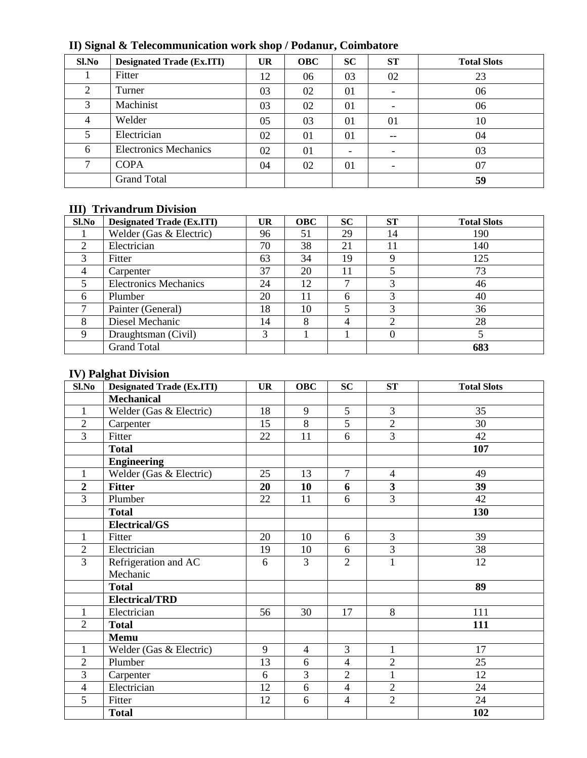| $\bullet$     |                                  |           |            |                          |                          |                    |
|---------------|----------------------------------|-----------|------------|--------------------------|--------------------------|--------------------|
| Sl.No         | <b>Designated Trade (Ex.ITI)</b> | <b>UR</b> | <b>OBC</b> | <b>SC</b>                | <b>ST</b>                | <b>Total Slots</b> |
|               | Fitter                           | 12        | 06         | 03                       | 02                       | 23                 |
| 2             | Turner                           | 03        | 02         | 01                       |                          | 06                 |
| 3             | Machinist                        | 03        | 02         | 01                       |                          | 06                 |
| 4             | Welder                           | 05        | 03         | $\Omega$                 | 01                       | 10                 |
| 5             | Electrician                      | 02        | 01         | 01                       | --                       | 04                 |
| 6             | <b>Electronics Mechanics</b>     | 02        | 01         | $\overline{\phantom{0}}$ | $\overline{\phantom{0}}$ | 03                 |
| $\mathcal{L}$ | <b>COPA</b>                      | 04        | 02         | 01                       | $\overline{\phantom{0}}$ | 07                 |
|               | <b>Grand Total</b>               |           |            |                          |                          | 59                 |

**II) Signal & Telecommunication work shop / Podanur, Coimbatore**

### **III) Trivandrum Division**

| Sl.No                       | <b>Designated Trade (Ex.ITI)</b> | <b>UR</b> | <b>OBC</b> | <b>SC</b>      | <b>ST</b> | <b>Total Slots</b> |
|-----------------------------|----------------------------------|-----------|------------|----------------|-----------|--------------------|
|                             | Welder (Gas & Electric)          | 96        | 51         | 29             | 14        | 190                |
| $\mathcal{D}_{\mathcal{L}}$ | Electrician                      | 70        | 38         | 21             | 11        | 140                |
| 3                           | Fitter                           | 63        | 34         | 19             |           | 125                |
| 4                           | Carpenter                        | 37        | 20         | 11             |           | 73                 |
|                             | <b>Electronics Mechanics</b>     | 24        | 12         |                |           | 46                 |
| 6                           | Plumber                          | 20        | 11         | 6              | 3         | 40                 |
| ⇁                           | Painter (General)                | 18        | 10         | 5              | 3         | 36                 |
| 8                           | Diesel Mechanic                  | 14        | 8          | $\overline{4}$ |           | 28                 |
| $\mathbf Q$                 | Draughtsman (Civil)              | 3         |            |                |           |                    |
|                             | <b>Grand Total</b>               |           |            |                |           | 683                |

## **IV) Palghat Division**

| Sl.No          | <b>Designated Trade (Ex.ITI)</b> | <b>UR</b> | <b>OBC</b>     | <b>SC</b>      | ST                      | <b>Total Slots</b> |
|----------------|----------------------------------|-----------|----------------|----------------|-------------------------|--------------------|
|                | <b>Mechanical</b>                |           |                |                |                         |                    |
| $\mathbf{1}$   | Welder (Gas & Electric)          | 18        | 9              | 5              | 3                       | 35                 |
| $\overline{2}$ | Carpenter                        | 15        | $\overline{8}$ | 5              | $\overline{2}$          | 30                 |
| $\overline{3}$ | Fitter                           | 22        | 11             | 6              | $\overline{3}$          | 42                 |
|                | <b>Total</b>                     |           |                |                |                         | 107                |
|                | <b>Engineering</b>               |           |                |                |                         |                    |
| $\mathbf{1}$   | Welder (Gas & Electric)          | 25        | 13             | $\overline{7}$ | $\overline{4}$          | 49                 |
| $\overline{2}$ | <b>Fitter</b>                    | 20        | 10             | 6              | $\overline{\mathbf{3}}$ | 39                 |
| $\overline{3}$ | Plumber                          | 22        | 11             | 6              | $\overline{3}$          | 42                 |
|                | <b>Total</b>                     |           |                |                |                         | 130                |
|                | <b>Electrical/GS</b>             |           |                |                |                         |                    |
| $\mathbf{1}$   | Fitter                           | 20        | 10             | 6              | 3                       | 39                 |
| $\overline{2}$ | Electrician                      | 19        | 10             | 6              | $\overline{3}$          | 38                 |
| $\overline{3}$ | Refrigeration and AC             | 6         | 3              | $\overline{2}$ | $\mathbf{1}$            | 12                 |
|                | Mechanic                         |           |                |                |                         |                    |
|                | <b>Total</b>                     |           |                |                |                         | 89                 |
|                | <b>Electrical/TRD</b>            |           |                |                |                         |                    |
| 1              | Electrician                      | 56        | 30             | 17             | $\overline{8}$          | 111                |
| $\overline{2}$ | <b>Total</b>                     |           |                |                |                         | 111                |
|                | <b>Memu</b>                      |           |                |                |                         |                    |
| 1              | Welder (Gas & Electric)          | 9         | $\overline{4}$ | 3              | $\mathbf{1}$            | 17                 |
| $\overline{2}$ | Plumber                          | 13        | 6              | $\overline{4}$ | $\overline{2}$          | 25                 |
| 3              | Carpenter                        | 6         | 3              | $\overline{2}$ | $\mathbf{1}$            | 12                 |
| $\overline{4}$ | Electrician                      | 12        | 6              | $\overline{4}$ | $\overline{2}$          | 24                 |
| 5              | Fitter                           | 12        | 6              | $\overline{4}$ | $\overline{2}$          | 24                 |
|                | <b>Total</b>                     |           |                |                |                         | 102                |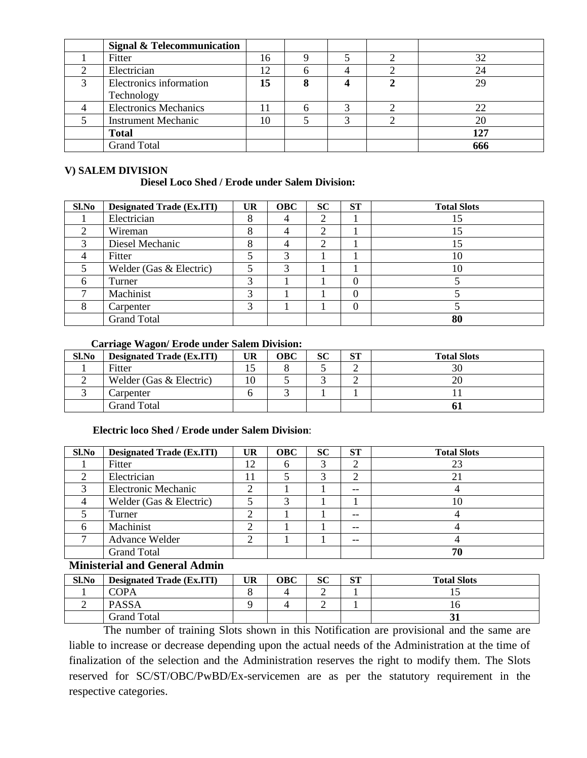| <b>Signal &amp; Telecommunication</b> |    |  |     |
|---------------------------------------|----|--|-----|
| Fitter                                | 16 |  | 32  |
| Electrician                           | 12 |  |     |
| Electronics information<br>Technology | 15 |  | 29  |
| <b>Electronics Mechanics</b>          |    |  |     |
| <b>Instrument Mechanic</b>            | 10 |  | 20  |
| <b>Total</b>                          |    |  | 127 |
| <b>Grand Total</b>                    |    |  | 666 |

#### **V) SALEM DIVISION**

#### **Diesel Loco Shed / Erode under Salem Division:**

| Sl.No                  | <b>Designated Trade (Ex.ITI)</b> | <b>UR</b> | <b>OBC</b> | <b>SC</b> | <b>ST</b>         | <b>Total Slots</b> |
|------------------------|----------------------------------|-----------|------------|-----------|-------------------|--------------------|
|                        | Electrician                      |           |            | ◠         |                   |                    |
| ി                      | Wireman                          | δ         | 4          | 2         |                   |                    |
| $\mathbf{\mathcal{R}}$ | Diesel Mechanic                  | Ω         | 4          | ာ         |                   |                    |
|                        | Fitter                           |           | 3          |           |                   | 10                 |
|                        | Welder (Gas & Electric)          | ς         | 3          |           |                   | 10                 |
|                        | Turner                           | 3         |            |           | 0                 |                    |
|                        | Machinist                        | 2         |            |           | $\mathbf{\Omega}$ |                    |
| 8                      | Carpenter                        | 3         |            |           | $\Omega$          |                    |
|                        | <b>Grand Total</b>               |           |            |           |                   | 80                 |

#### **Carriage Wagon/ Erode under Salem Division:**

| Sl.No | <b>Designated Trade (Ex.ITI)</b> | UR. | OBC | SС | CТ<br>JІ | <b>Total Slots</b> |
|-------|----------------------------------|-----|-----|----|----------|--------------------|
|       | Fitter                           |     |     |    |          |                    |
|       | Welder (Gas & Electric)          | 10  |     |    | ∸        |                    |
|       | Carpenter                        |     |     |    |          |                    |
|       | Grand Total                      |     |     |    |          |                    |

#### **Electric loco Shed / Erode under Salem Division**:

| Sl.No | <b>Designated Trade (Ex.ITI)</b> | <b>UR</b> | <b>OBC</b> | <b>SC</b> | <b>ST</b> | <b>Total Slots</b> |
|-------|----------------------------------|-----------|------------|-----------|-----------|--------------------|
|       | Fitter                           | 12        | h          |           |           |                    |
|       | Electrician                      |           |            |           | ⌒         |                    |
|       | <b>Electronic Mechanic</b>       |           |            |           | $-$       |                    |
|       | Welder (Gas & Electric)          |           |            |           |           |                    |
|       | Turner                           |           |            |           | $- -$     |                    |
|       | Machinist                        |           |            |           | $- -$     |                    |
|       | Advance Welder                   |           |            |           | $-$       |                    |
|       | <b>Grand Total</b>               |           |            |           |           | 70                 |

## **Ministerial and General Admin**

| Sl.No | <b>Designated Trade (Ex.ITI)</b> | UR | OBC | SС | $C^{\mathsf{T}}$<br>OЦ | <b>Total Slots</b> |
|-------|----------------------------------|----|-----|----|------------------------|--------------------|
|       | COPA                             |    |     |    |                        |                    |
|       | <b>PASSA</b>                     |    |     | ∸  |                        |                    |
|       | Grand Total                      |    |     |    |                        |                    |

The number of training Slots shown in this Notification are provisional and the same are liable to increase or decrease depending upon the actual needs of the Administration at the time of finalization of the selection and the Administration reserves the right to modify them. The Slots reserved for SC/ST/OBC/PwBD/Ex-servicemen are as per the statutory requirement in the respective categories.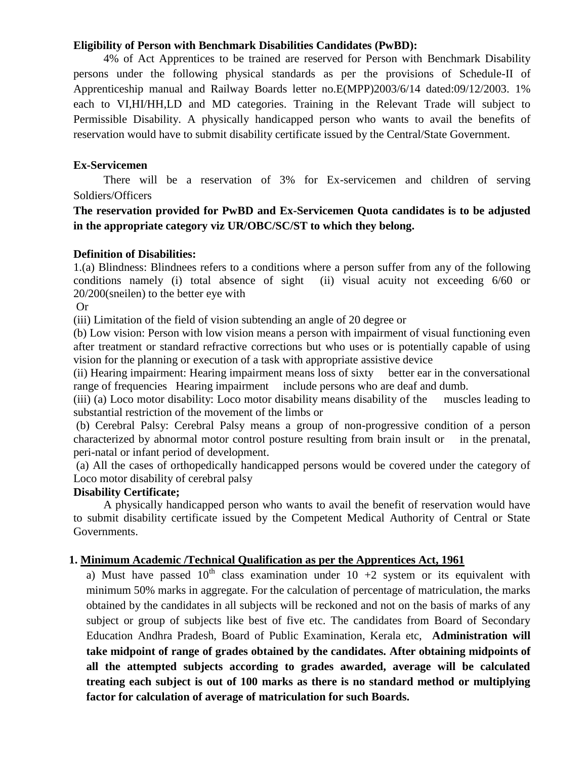### **Eligibility of Person with Benchmark Disabilities Candidates (PwBD):**

4% of Act Apprentices to be trained are reserved for Person with Benchmark Disability persons under the following physical standards as per the provisions of Schedule-II of Apprenticeship manual and Railway Boards letter no.E(MPP)2003/6/14 dated:09/12/2003. 1% each to VI,HI/HH,LD and MD categories. Training in the Relevant Trade will subject to Permissible Disability. A physically handicapped person who wants to avail the benefits of reservation would have to submit disability certificate issued by the Central/State Government.

### **Ex-Servicemen**

There will be a reservation of 3% for Ex-servicemen and children of serving Soldiers/Officers

# **The reservation provided for PwBD and Ex-Servicemen Quota candidates is to be adjusted in the appropriate category viz UR/OBC/SC/ST to which they belong.**

#### **Definition of Disabilities:**

1.(a) Blindness: Blindnees refers to a conditions where a person suffer from any of the following conditions namely (i) total absence of sight (ii) visual acuity not exceeding 6/60 or 20/200(sneilen) to the better eye with

Or

(iii) Limitation of the field of vision subtending an angle of 20 degree or

(b) Low vision: Person with low vision means a person with impairment of visual functioning even after treatment or standard refractive corrections but who uses or is potentially capable of using vision for the planning or execution of a task with appropriate assistive device

(ii) Hearing impairment: Hearing impairment means loss of sixty better ear in the conversational range of frequencies Hearing impairment include persons who are deaf and dumb.

(iii) (a) Loco motor disability: Loco motor disability means disability of the muscles leading to substantial restriction of the movement of the limbs or

(b) Cerebral Palsy: Cerebral Palsy means a group of non-progressive condition of a person characterized by abnormal motor control posture resulting from brain insult or in the prenatal, peri-natal or infant period of development.

(a) All the cases of orthopedically handicapped persons would be covered under the category of Loco motor disability of cerebral palsy

### **Disability Certificate;**

A physically handicapped person who wants to avail the benefit of reservation would have to submit disability certificate issued by the Competent Medical Authority of Central or State Governments.

### **1. Minimum Academic /Technical Qualification as per the Apprentices Act, 1961**

a) Must have passed  $10^{th}$  class examination under  $10 + 2$  system or its equivalent with minimum 50% marks in aggregate. For the calculation of percentage of matriculation, the marks obtained by the candidates in all subjects will be reckoned and not on the basis of marks of any subject or group of subjects like best of five etc. The candidates from Board of Secondary Education Andhra Pradesh, Board of Public Examination, Kerala etc, **Administration will take midpoint of range of grades obtained by the candidates. After obtaining midpoints of all the attempted subjects according to grades awarded, average will be calculated treating each subject is out of 100 marks as there is no standard method or multiplying factor for calculation of average of matriculation for such Boards.**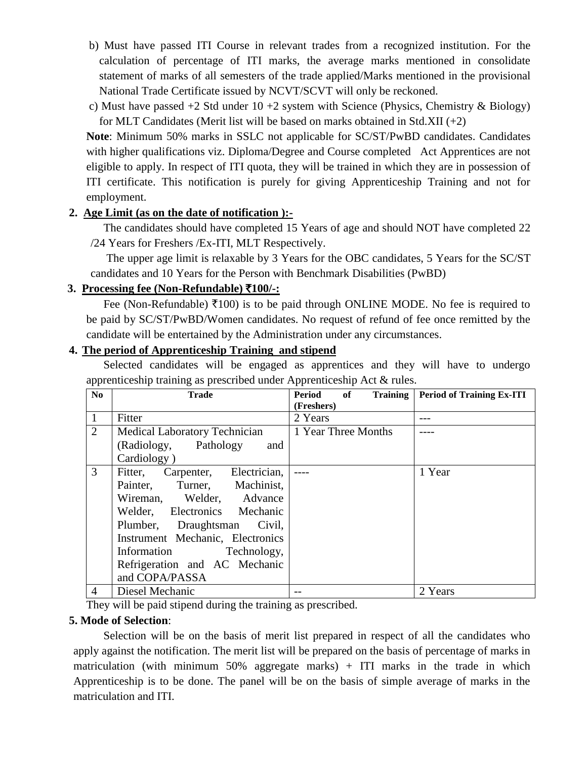- b) Must have passed ITI Course in relevant trades from a recognized institution. For the calculation of percentage of ITI marks, the average marks mentioned in consolidate statement of marks of all semesters of the trade applied/Marks mentioned in the provisional National Trade Certificate issued by NCVT/SCVT will only be reckoned.
- c) Must have passed  $+2$  Std under  $10 + 2$  system with Science (Physics, Chemistry & Biology) for MLT Candidates (Merit list will be based on marks obtained in Std.XII  $(+2)$ )

 **Note**: Minimum 50% marks in SSLC not applicable for SC/ST/PwBD candidates. Candidates with higher qualifications viz. Diploma/Degree and Course completed Act Apprentices are not eligible to apply. In respect of ITI quota, they will be trained in which they are in possession of ITI certificate. This notification is purely for giving Apprenticeship Training and not for employment.

## **2. Age Limit (as on the date of notification ):-**

The candidates should have completed 15 Years of age and should NOT have completed 22 /24 Years for Freshers /Ex-ITI, MLT Respectively.

The upper age limit is relaxable by 3 Years for the OBC candidates, 5 Years for the SC/ST candidates and 10 Years for the Person with Benchmark Disabilities (PwBD)

# **3. Processing fee (Non-Refundable)** `**100/-:**

Fee (Non-Refundable)  $\bar{\tau}100$ ) is to be paid through ONLINE MODE. No fee is required to be paid by SC/ST/PwBD/Women candidates. No request of refund of fee once remitted by the candidate will be entertained by the Administration under any circumstances.

# **4. The period of Apprenticeship Training and stipend**

Selected candidates will be engaged as apprentices and they will have to undergo apprenticeship training as prescribed under Apprenticeship Act & rules.

| N <sub>0</sub> | <b>Trade</b>                     | <b>Training</b><br>Period<br>of | <b>Period of Training Ex-ITI</b> |
|----------------|----------------------------------|---------------------------------|----------------------------------|
|                |                                  | (Freshers)                      |                                  |
|                | Fitter                           | 2 Years                         |                                  |
| 2              | Medical Laboratory Technician    | 1 Year Three Months             |                                  |
|                | (Radiology, Pathology<br>and     |                                 |                                  |
|                | Cardiology)                      |                                 |                                  |
| 3              | Fitter, Carpenter, Electrician,  |                                 | 1 Year                           |
|                | Painter, Turner, Machinist,      |                                 |                                  |
|                | Wireman, Welder, Advance         |                                 |                                  |
|                | Welder, Electronics Mechanic     |                                 |                                  |
|                | Plumber, Draughtsman Civil,      |                                 |                                  |
|                | Instrument Mechanic, Electronics |                                 |                                  |
|                | Information Technology,          |                                 |                                  |
|                | Refrigeration and AC Mechanic    |                                 |                                  |
|                | and COPA/PASSA                   |                                 |                                  |
| $\overline{4}$ | Diesel Mechanic                  |                                 | 2 Years                          |

They will be paid stipend during the training as prescribed.

## **5. Mode of Selection**:

 Selection will be on the basis of merit list prepared in respect of all the candidates who apply against the notification. The merit list will be prepared on the basis of percentage of marks in matriculation (with minimum 50% aggregate marks) + ITI marks in the trade in which Apprenticeship is to be done. The panel will be on the basis of simple average of marks in the matriculation and ITI.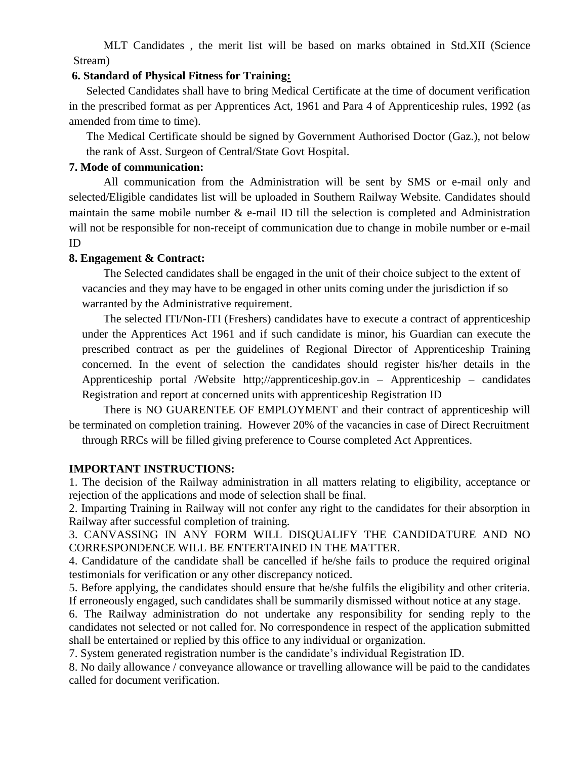MLT Candidates , the merit list will be based on marks obtained in Std.XII (Science Stream)

### **6. Standard of Physical Fitness for Training:**

Selected Candidates shall have to bring Medical Certificate at the time of document verification in the prescribed format as per Apprentices Act, 1961 and Para 4 of Apprenticeship rules, 1992 (as amended from time to time).

The Medical Certificate should be signed by Government Authorised Doctor (Gaz.), not below the rank of Asst. Surgeon of Central/State Govt Hospital.

### **7. Mode of communication:**

All communication from the Administration will be sent by SMS or e-mail only and selected/Eligible candidates list will be uploaded in Southern Railway Website. Candidates should maintain the same mobile number  $\&$  e-mail ID till the selection is completed and Administration will not be responsible for non-receipt of communication due to change in mobile number or e-mail ID

### **8. Engagement & Contract:**

The Selected candidates shall be engaged in the unit of their choice subject to the extent of vacancies and they may have to be engaged in other units coming under the jurisdiction if so warranted by the Administrative requirement.

The selected ITI/Non-ITI (Freshers) candidates have to execute a contract of apprenticeship under the Apprentices Act 1961 and if such candidate is minor, his Guardian can execute the prescribed contract as per the guidelines of Regional Director of Apprenticeship Training concerned. In the event of selection the candidates should register his/her details in the Apprenticeship portal /Website http;//apprenticeship.gov.in – Apprenticeship – candidates Registration and report at concerned units with apprenticeship Registration ID

There is NO GUARENTEE OF EMPLOYMENT and their contract of apprenticeship will be terminated on completion training. However 20% of the vacancies in case of Direct Recruitment through RRCs will be filled giving preference to Course completed Act Apprentices.

## **IMPORTANT INSTRUCTIONS:**

1. The decision of the Railway administration in all matters relating to eligibility, acceptance or rejection of the applications and mode of selection shall be final.

2. Imparting Training in Railway will not confer any right to the candidates for their absorption in Railway after successful completion of training.

3. CANVASSING IN ANY FORM WILL DISQUALIFY THE CANDIDATURE AND NO CORRESPONDENCE WILL BE ENTERTAINED IN THE MATTER.

4. Candidature of the candidate shall be cancelled if he/she fails to produce the required original testimonials for verification or any other discrepancy noticed.

5. Before applying, the candidates should ensure that he/she fulfils the eligibility and other criteria. If erroneously engaged, such candidates shall be summarily dismissed without notice at any stage.

6. The Railway administration do not undertake any responsibility for sending reply to the candidates not selected or not called for. No correspondence in respect of the application submitted shall be entertained or replied by this office to any individual or organization.

7. System generated registration number is the candidate's individual Registration ID.

8. No daily allowance / conveyance allowance or travelling allowance will be paid to the candidates called for document verification.